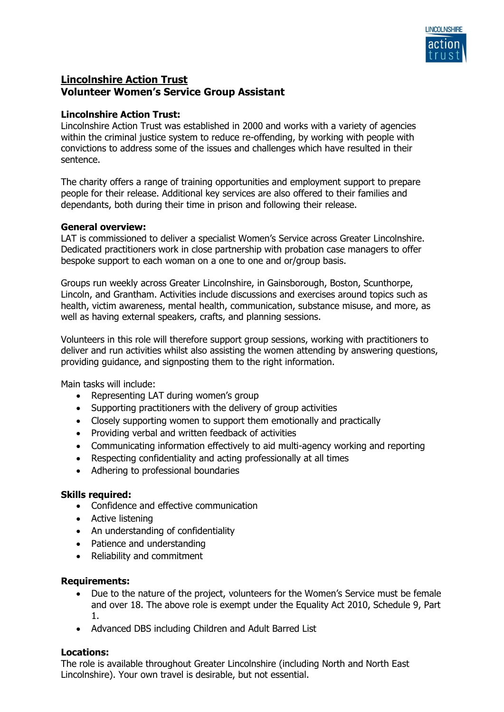

# **Lincolnshire Action Trust Volunteer Women's Service Group Assistant**

## **Lincolnshire Action Trust:**

Lincolnshire Action Trust was established in 2000 and works with a variety of agencies within the criminal justice system to reduce re-offending, by working with people with convictions to address some of the issues and challenges which have resulted in their sentence.

The charity offers a range of training opportunities and employment support to prepare people for their release. Additional key services are also offered to their families and dependants, both during their time in prison and following their release.

#### **General overview:**

LAT is commissioned to deliver a specialist Women's Service across Greater Lincolnshire. Dedicated practitioners work in close partnership with probation case managers to offer bespoke support to each woman on a one to one and or/group basis.

Groups run weekly across Greater Lincolnshire, in Gainsborough, Boston, Scunthorpe, Lincoln, and Grantham. Activities include discussions and exercises around topics such as health, victim awareness, mental health, communication, substance misuse, and more, as well as having external speakers, crafts, and planning sessions.

Volunteers in this role will therefore support group sessions, working with practitioners to deliver and run activities whilst also assisting the women attending by answering questions, providing guidance, and signposting them to the right information.

Main tasks will include:

- Representing LAT during women's group
- Supporting practitioners with the delivery of group activities
- Closely supporting women to support them emotionally and practically
- Providing verbal and written feedback of activities
- Communicating information effectively to aid multi-agency working and reporting
- Respecting confidentiality and acting professionally at all times
- Adhering to professional boundaries

#### **Skills required:**

- Confidence and effective communication
- Active listening
- An understanding of confidentiality
- Patience and understanding
- Reliability and commitment

#### **Requirements:**

- Due to the nature of the project, volunteers for the Women's Service must be female and over 18. The above role is exempt under the Equality Act 2010, Schedule 9, Part 1.
- Advanced DBS including Children and Adult Barred List

#### **Locations:**

The role is available throughout Greater Lincolnshire (including North and North East Lincolnshire). Your own travel is desirable, but not essential.